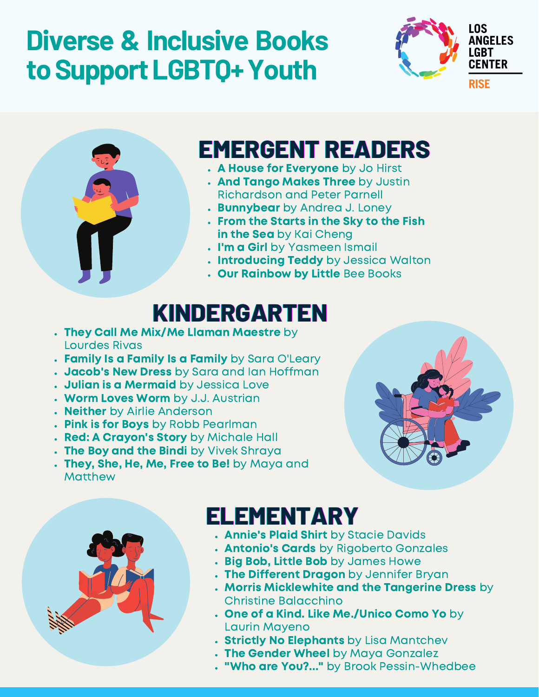# **Diverse & Inclusive Books toSupportLGBTQ+Youth**





#### **EMERGENT READERS**

- . A House for Everyone by Jo Hirst
- . And Tango Makes Three by Justin Richardson and Peter Parnell
- **Bunnybear** by Andrea J. Loney
- From the Starts in the Sky to the Fish in the Sea by Kai Cheng
- . I'm a Girl by Yasmeen Ismail
- . Introducing Teddy by Jessica Walton
- . Our Rainbow by Little Bee Books

#### **KINDERGARTEN**

- They Call Me Mix/Me Llaman Maestre by Lourdes Rivas
- Family Is a Family Is a Family by Sara O'Leary
- . Jacob's New Dress by Sara and Ian Hoffman
- . Julian is a Mermaid by Jessica Love
- Worm Loves Worm by J.J. Austrian
- . Neither by Airlie Anderson
- . Pink is for Boys by Robb Pearlman
- . Red: A Crayon's Story by Michale Hall
- . The Boy and the Bindi by Vivek Shraya
- . They, She, He, Me, Free to Be! by Maya and Matthew





## **ELEMENTARY**

- . Annie's Plaid Shirt by Stacie Davids
- . Antonio's Cards by Rigoberto Gonzales
- . Big Bob, Little Bob by James Howe
- . The Different Dragon by Jennifer Bryan
- **Morris Micklewhite and the Tangerine Dress** by Christine Balacchino
- One of a Kind. Like Me./Unico Como Yo by Laurin Mayeno
- . Strictly No Elephants by Lisa Mantchev
- . The Gender Wheel by Maya Gonzalez
- "Who are You?..." by Brook Pessin-Whedbee